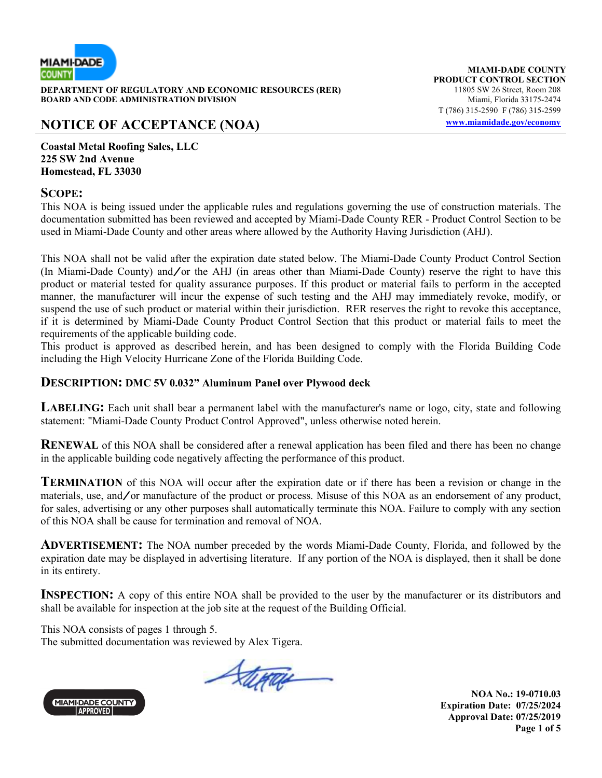

**DEPARTMENT OF REGULATORY AND ECONOMIC RESOURCES (RER)** 11805 SW 26 Street, Room 208<br>**BOARD AND CODE ADMINISTRATION DIVISION** 11807 11805 SW 26 Street, Room 208 **BOARD AND CODE ADMINISTRATION DIVISION** 

# **NOTICE OF ACCEPTANCE (NOA) www.miamidade.gov/economy**

**MIAMI-DADE COUNTY PRODUCT CONTROL SECTION** T (786) 315-2590 F (786) 315-2599

**Coastal Metal Roofing Sales, LLC 225 SW 2nd Avenue Homestead, FL 33030** 

### **SCOPE:**

This NOA is being issued under the applicable rules and regulations governing the use of construction materials. The documentation submitted has been reviewed and accepted by Miami-Dade County RER - Product Control Section to be used in Miami-Dade County and other areas where allowed by the Authority Having Jurisdiction (AHJ).

This NOA shall not be valid after the expiration date stated below. The Miami-Dade County Product Control Section (In Miami-Dade County) and/or the AHJ (in areas other than Miami-Dade County) reserve the right to have this product or material tested for quality assurance purposes. If this product or material fails to perform in the accepted manner, the manufacturer will incur the expense of such testing and the AHJ may immediately revoke, modify, or suspend the use of such product or material within their jurisdiction. RER reserves the right to revoke this acceptance, if it is determined by Miami-Dade County Product Control Section that this product or material fails to meet the requirements of the applicable building code.

This product is approved as described herein, and has been designed to comply with the Florida Building Code including the High Velocity Hurricane Zone of the Florida Building Code.

### **DESCRIPTION: DMC 5V 0.032" Aluminum Panel over Plywood deck**

**LABELING:** Each unit shall bear a permanent label with the manufacturer's name or logo, city, state and following statement: "Miami-Dade County Product Control Approved", unless otherwise noted herein.

**RENEWAL** of this NOA shall be considered after a renewal application has been filed and there has been no change in the applicable building code negatively affecting the performance of this product.

**TERMINATION** of this NOA will occur after the expiration date or if there has been a revision or change in the materials, use, and/or manufacture of the product or process. Misuse of this NOA as an endorsement of any product, for sales, advertising or any other purposes shall automatically terminate this NOA. Failure to comply with any section of this NOA shall be cause for termination and removal of NOA.

**ADVERTISEMENT:** The NOA number preceded by the words Miami-Dade County, Florida, and followed by the expiration date may be displayed in advertising literature. If any portion of the NOA is displayed, then it shall be done in its entirety.

**INSPECTION:** A copy of this entire NOA shall be provided to the user by the manufacturer or its distributors and shall be available for inspection at the job site at the request of the Building Official.

This NOA consists of pages 1 through 5. The submitted documentation was reviewed by Alex Tigera.

Stepan



**NOA No.: 19-0710.03 Expiration Date: 07/25/2024 Approval Date: 07/25/2019 Page 1 of 5**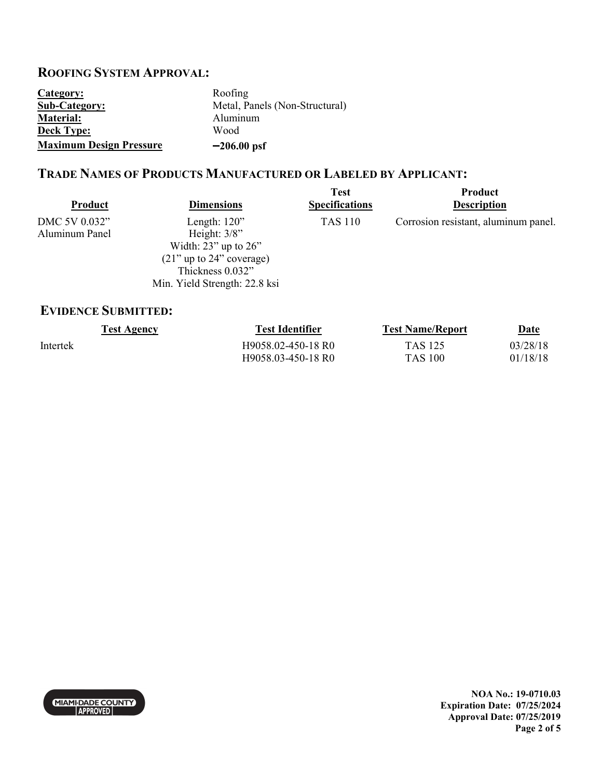# **ROOFING SYSTEM APPROVAL:**

| Category:                      | Roofing                        |
|--------------------------------|--------------------------------|
| <b>Sub-Category:</b>           | Metal, Panels (Non-Structural) |
| <b>Material:</b>               | Aluminum                       |
| <b>Deck Type:</b>              | Wood                           |
| <b>Maximum Design Pressure</b> | $-206.00$ psf                  |

## **TRADE NAMES OF PRODUCTS MANUFACTURED OR LABELED BY APPLICANT:**

| Product        | <b>Dimensions</b>             | <b>Test</b><br><b>Specifications</b> | Product<br><b>Description</b>        |
|----------------|-------------------------------|--------------------------------------|--------------------------------------|
| DMC 5V 0.032"  | Length: $120$ "               | <b>TAS 110</b>                       | Corrosion resistant, aluminum panel. |
| Aluminum Panel | Height: $3/8$ "               |                                      |                                      |
|                | Width: $23$ " up to $26$ "    |                                      |                                      |
|                | $(21)$ " up to 24" coverage)  |                                      |                                      |
|                | Thickness 0.032"              |                                      |                                      |
|                | Min. Yield Strength: 22.8 ksi |                                      |                                      |

## **EVIDENCE SUBMITTED:**

| <b>Test Agency</b> | <b>Test Identifier</b> | <b>Test Name/Report</b> | <u>Date</u> |
|--------------------|------------------------|-------------------------|-------------|
| Intertek           | H9058.02-450-18 R0     | TAS 125                 | 03/28/18    |
|                    | H9058.03-450-18 R0     | <b>TAS 100</b>          | 01/18/18    |

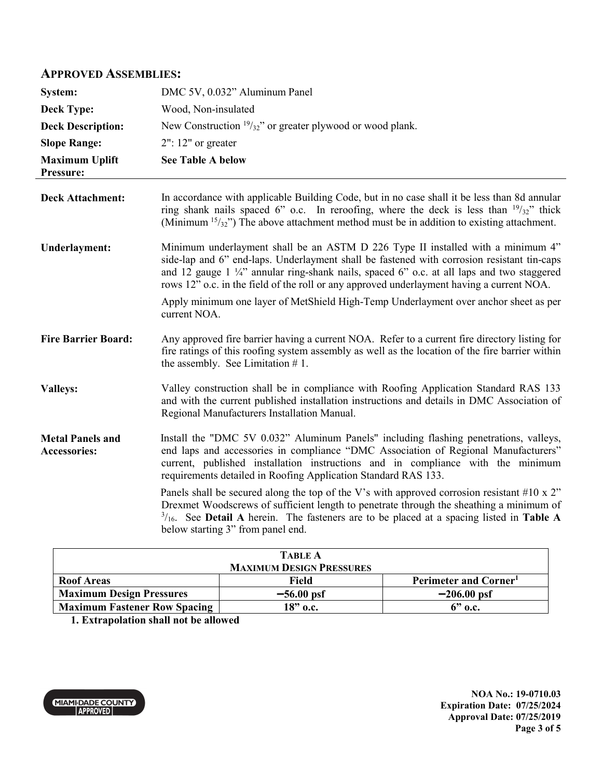### **APPROVED ASSEMBLIES:**

| System:                                        | DMC 5V, 0.032" Aluminum Panel                                                                                                                                                                                                                                                                                                                                                                                                                                                                                                                                                                                                                                             |
|------------------------------------------------|---------------------------------------------------------------------------------------------------------------------------------------------------------------------------------------------------------------------------------------------------------------------------------------------------------------------------------------------------------------------------------------------------------------------------------------------------------------------------------------------------------------------------------------------------------------------------------------------------------------------------------------------------------------------------|
| <b>Deck Type:</b>                              | Wood, Non-insulated                                                                                                                                                                                                                                                                                                                                                                                                                                                                                                                                                                                                                                                       |
| <b>Deck Description:</b>                       | New Construction $19/32$ " or greater plywood or wood plank.                                                                                                                                                                                                                                                                                                                                                                                                                                                                                                                                                                                                              |
| <b>Slope Range:</b>                            | $2"$ : 12" or greater                                                                                                                                                                                                                                                                                                                                                                                                                                                                                                                                                                                                                                                     |
| <b>Maximum Uplift</b><br>Pressure:             | <b>See Table A below</b>                                                                                                                                                                                                                                                                                                                                                                                                                                                                                                                                                                                                                                                  |
| <b>Deck Attachment:</b>                        | In accordance with applicable Building Code, but in no case shall it be less than 8d annular<br>ring shank nails spaced 6" o.c. In reroofing, where the deck is less than $19/32$ " thick<br>(Minimum $15/32$ ) The above attachment method must be in addition to existing attachment.                                                                                                                                                                                                                                                                                                                                                                                   |
| <b>Underlayment:</b>                           | Minimum underlayment shall be an ASTM D 226 Type II installed with a minimum 4"<br>side-lap and 6" end-laps. Underlayment shall be fastened with corrosion resistant tin-caps<br>and 12 gauge 1 1/4" annular ring-shank nails, spaced 6" o.c. at all laps and two staggered<br>rows 12" o.c. in the field of the roll or any approved underlayment having a current NOA.<br>Apply minimum one layer of MetShield High-Temp Underlayment over anchor sheet as per<br>current NOA.                                                                                                                                                                                          |
| <b>Fire Barrier Board:</b>                     | Any approved fire barrier having a current NOA. Refer to a current fire directory listing for<br>fire ratings of this roofing system assembly as well as the location of the fire barrier within<br>the assembly. See Limitation $# 1$ .                                                                                                                                                                                                                                                                                                                                                                                                                                  |
| <b>Valleys:</b>                                | Valley construction shall be in compliance with Roofing Application Standard RAS 133<br>and with the current published installation instructions and details in DMC Association of<br>Regional Manufacturers Installation Manual.                                                                                                                                                                                                                                                                                                                                                                                                                                         |
| <b>Metal Panels and</b><br><b>Accessories:</b> | Install the "DMC 5V 0.032" Aluminum Panels" including flashing penetrations, valleys,<br>end laps and accessories in compliance "DMC Association of Regional Manufacturers"<br>current, published installation instructions and in compliance with the minimum<br>requirements detailed in Roofing Application Standard RAS 133.<br>Panels shall be secured along the top of the V's with approved corrosion resistant #10 x $2$ "<br>Drexmet Woodscrews of sufficient length to penetrate through the sheathing a minimum of<br>$\frac{3}{16}$ . See Detail A herein. The fasteners are to be placed at a spacing listed in Table A<br>below starting 3" from panel end. |

| <b>TABLE A</b>                      |              |                                   |
|-------------------------------------|--------------|-----------------------------------|
| <b>MAXIMUM DESIGN PRESSURES</b>     |              |                                   |
| <b>Roof Areas</b>                   | Field        | Perimeter and Corner <sup>1</sup> |
| <b>Maximum Design Pressures</b>     | $-56.00$ psf | $-206.00$ psf                     |
| <b>Maximum Fastener Row Spacing</b> | 18" о.с.     | $6"$ o.c.                         |
|                                     |              |                                   |

**1. Extrapolation shall not be allowed**

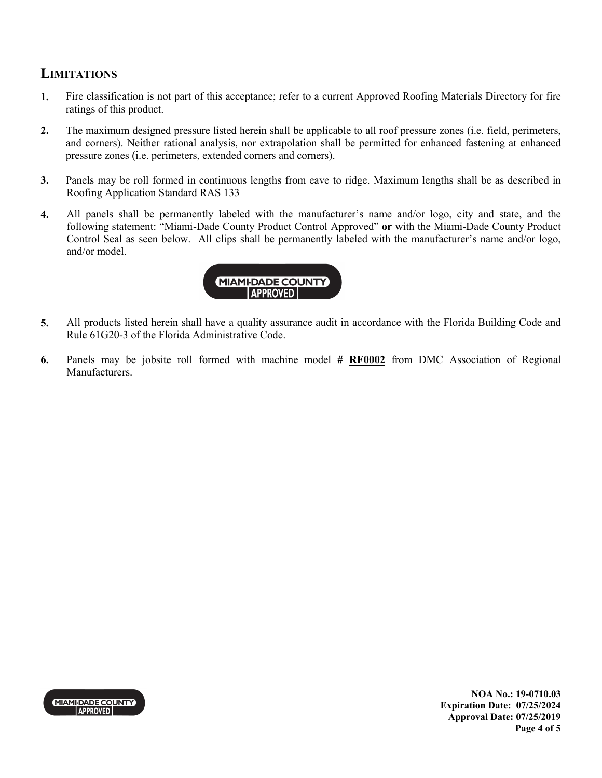## **LIMITATIONS**

- **1.** Fire classification is not part of this acceptance; refer to a current Approved Roofing Materials Directory for fire ratings of this product.
- **2.** The maximum designed pressure listed herein shall be applicable to all roof pressure zones (i.e. field, perimeters, and corners). Neither rational analysis, nor extrapolation shall be permitted for enhanced fastening at enhanced pressure zones (i.e. perimeters, extended corners and corners).
- **3.** Panels may be roll formed in continuous lengths from eave to ridge. Maximum lengths shall be as described in Roofing Application Standard RAS 133
- **4.** All panels shall be permanently labeled with the manufacturer's name and/or logo, city and state, and the following statement: "Miami-Dade County Product Control Approved" **or** with the Miami-Dade County Product Control Seal as seen below. All clips shall be permanently labeled with the manufacturer's name and/or logo, and/or model.



- **5.** All products listed herein shall have a quality assurance audit in accordance with the Florida Building Code and Rule 61G20-3 of the Florida Administrative Code.
- **6.** Panels may be jobsite roll formed with machine model **# RF0002** from DMC Association of Regional Manufacturers.



**NOA No.: 19-0710.03 Expiration Date: 07/25/2024 Approval Date: 07/25/2019 Page 4 of 5**